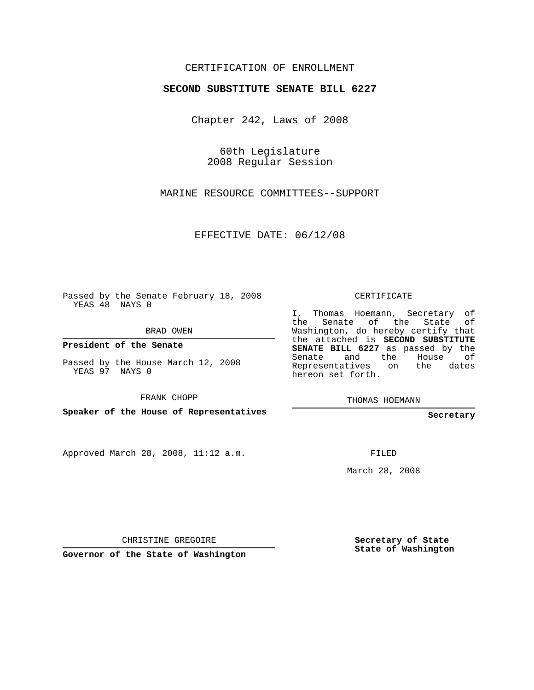## CERTIFICATION OF ENROLLMENT

## **SECOND SUBSTITUTE SENATE BILL 6227**

Chapter 242, Laws of 2008

60th Legislature 2008 Regular Session

MARINE RESOURCE COMMITTEES--SUPPORT

EFFECTIVE DATE: 06/12/08

Passed by the Senate February 18, 2008 YEAS 48 NAYS 0

BRAD OWEN

**President of the Senate**

Passed by the House March 12, 2008 YEAS 97 NAYS 0

FRANK CHOPP

**Speaker of the House of Representatives**

Approved March 28, 2008, 11:12 a.m.

CERTIFICATE

I, Thomas Hoemann, Secretary of the Senate of the State of Washington, do hereby certify that the attached is **SECOND SUBSTITUTE SENATE BILL 6227** as passed by the Senate and the House of Representatives on the dates hereon set forth.

THOMAS HOEMANN

**Secretary**

FILED

March 28, 2008

CHRISTINE GREGOIRE

**Governor of the State of Washington**

**Secretary of State State of Washington**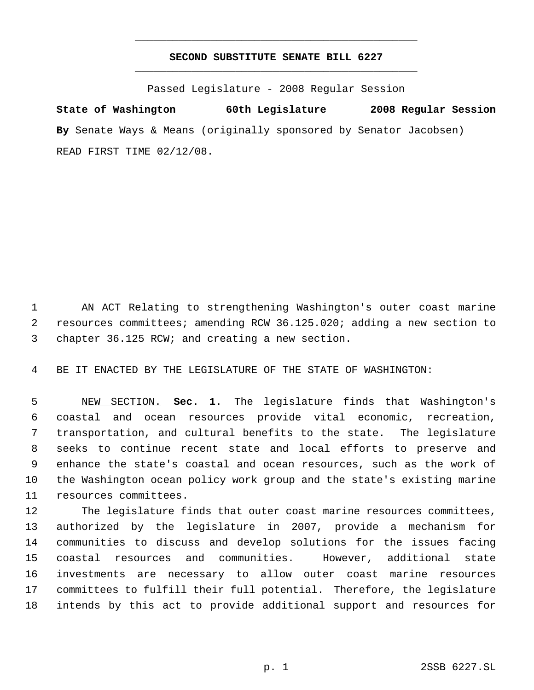## **SECOND SUBSTITUTE SENATE BILL 6227** \_\_\_\_\_\_\_\_\_\_\_\_\_\_\_\_\_\_\_\_\_\_\_\_\_\_\_\_\_\_\_\_\_\_\_\_\_\_\_\_\_\_\_\_\_

\_\_\_\_\_\_\_\_\_\_\_\_\_\_\_\_\_\_\_\_\_\_\_\_\_\_\_\_\_\_\_\_\_\_\_\_\_\_\_\_\_\_\_\_\_

Passed Legislature - 2008 Regular Session

**State of Washington 60th Legislature 2008 Regular Session By** Senate Ways & Means (originally sponsored by Senator Jacobsen) READ FIRST TIME 02/12/08.

 AN ACT Relating to strengthening Washington's outer coast marine resources committees; amending RCW 36.125.020; adding a new section to chapter 36.125 RCW; and creating a new section.

BE IT ENACTED BY THE LEGISLATURE OF THE STATE OF WASHINGTON:

 NEW SECTION. **Sec. 1.** The legislature finds that Washington's coastal and ocean resources provide vital economic, recreation, transportation, and cultural benefits to the state. The legislature seeks to continue recent state and local efforts to preserve and enhance the state's coastal and ocean resources, such as the work of the Washington ocean policy work group and the state's existing marine resources committees.

 The legislature finds that outer coast marine resources committees, authorized by the legislature in 2007, provide a mechanism for communities to discuss and develop solutions for the issues facing coastal resources and communities. However, additional state investments are necessary to allow outer coast marine resources committees to fulfill their full potential. Therefore, the legislature intends by this act to provide additional support and resources for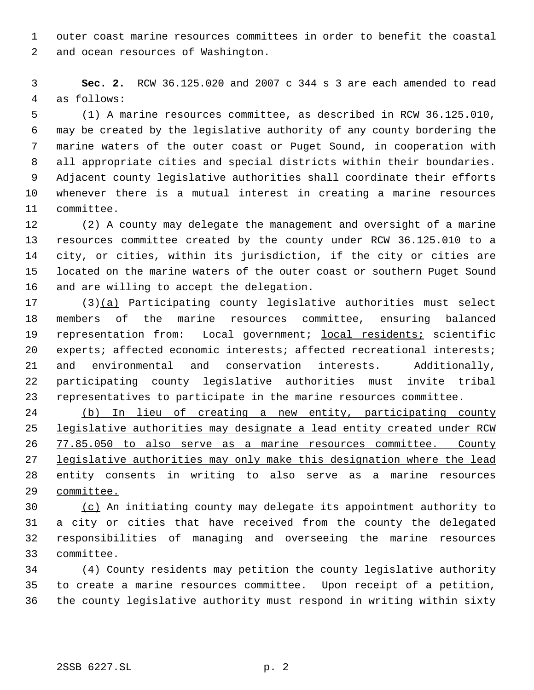outer coast marine resources committees in order to benefit the coastal and ocean resources of Washington.

 **Sec. 2.** RCW 36.125.020 and 2007 c 344 s 3 are each amended to read as follows:

 (1) A marine resources committee, as described in RCW 36.125.010, may be created by the legislative authority of any county bordering the marine waters of the outer coast or Puget Sound, in cooperation with all appropriate cities and special districts within their boundaries. Adjacent county legislative authorities shall coordinate their efforts whenever there is a mutual interest in creating a marine resources committee.

 (2) A county may delegate the management and oversight of a marine resources committee created by the county under RCW 36.125.010 to a city, or cities, within its jurisdiction, if the city or cities are located on the marine waters of the outer coast or southern Puget Sound and are willing to accept the delegation.

 (3)(a) Participating county legislative authorities must select members of the marine resources committee, ensuring balanced 19 representation from: Local government; local residents; scientific 20 experts; affected economic interests; affected recreational interests; and environmental and conservation interests. Additionally, participating county legislative authorities must invite tribal representatives to participate in the marine resources committee.

 (b) In lieu of creating a new entity, participating county legislative authorities may designate a lead entity created under RCW 77.85.050 to also serve as a marine resources committee. County legislative authorities may only make this designation where the lead entity consents in writing to also serve as a marine resources committee.

 (c) An initiating county may delegate its appointment authority to a city or cities that have received from the county the delegated responsibilities of managing and overseeing the marine resources committee.

 (4) County residents may petition the county legislative authority to create a marine resources committee. Upon receipt of a petition, the county legislative authority must respond in writing within sixty